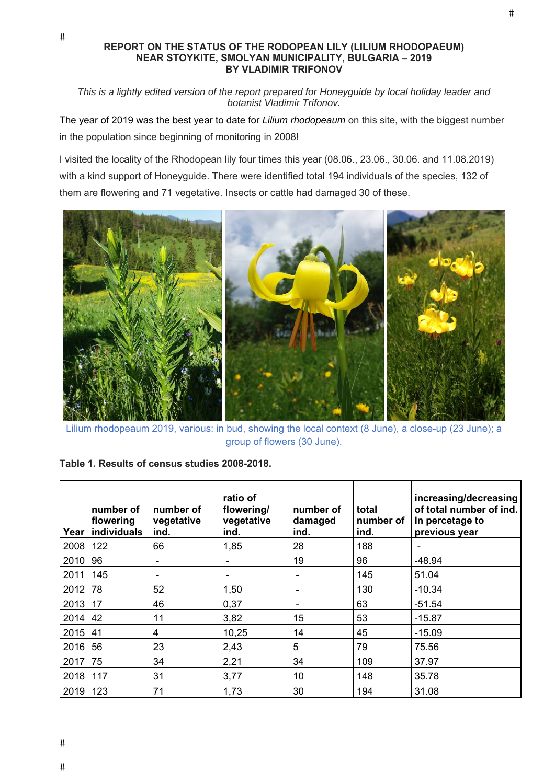## **REPORT ON THE STATUS OF THE RODOPEAN LILY (LILIUM RHODOPAEUM) NEAR STOYKITE, SMOLYAN MUNICIPALITY, BULGARIA – 2019 BY VLADIMIR TRIFONOV**

 $#$ 

*This is a lightly edited version of the report prepared for Honeyguide by local holiday leader and botanist Vladimir Trifonov.*

The year of 2019 was the best year to date for *Lilium rhodopeaum* on this site, with the biggest number in the population since beginning of monitoring in 2008!

I visited the locality of the Rhodopean lily four times this year (08.06., 23.06., 30.06. and 11.08.2019) with a kind support of Honeyguide. There were identified total 194 individuals of the species, 132 of them are flowering and 71 vegetative. Insects or cattle had damaged 30 of these.



Lilium rhodopeaum 2019, various: in bud, showing the local context (8 June), a close-up (23 June); a group of flowers (30 June).

| Table 1. Results of census studies 2008-2018. |  |  |  |  |  |  |
|-----------------------------------------------|--|--|--|--|--|--|
|-----------------------------------------------|--|--|--|--|--|--|

| Year | number of<br>flowering<br>individuals | number of<br>vegetative<br>ind. | ratio of<br>flowering/<br>vegetative<br>ind. | number of<br>damaged<br>ind. | total<br>number of<br>ind. | increasing/decreasing<br>of total number of ind.<br>In percetage to<br>previous year |
|------|---------------------------------------|---------------------------------|----------------------------------------------|------------------------------|----------------------------|--------------------------------------------------------------------------------------|
| 2008 | 122                                   | 66                              | 1,85                                         | 28                           | 188                        |                                                                                      |
| 2010 | 96                                    |                                 |                                              | 19                           | 96                         | $-48.94$                                                                             |
| 2011 | 145                                   |                                 |                                              | $\overline{\phantom{a}}$     | 145                        | 51.04                                                                                |
| 2012 | 78                                    | 52                              | 1,50                                         | $\overline{\phantom{a}}$     | 130                        | $-10.34$                                                                             |
| 2013 | 17                                    | 46                              | 0,37                                         | $\overline{\phantom{a}}$     | 63                         | $-51.54$                                                                             |
| 2014 | 42                                    | 11                              | 3,82                                         | 15                           | 53                         | $-15.87$                                                                             |
| 2015 | 41                                    | 4                               | 10,25                                        | 14                           | 45                         | $-15.09$                                                                             |
| 2016 | 56                                    | 23                              | 2,43                                         | 5                            | 79                         | 75.56                                                                                |
| 2017 | 75                                    | 34                              | 2,21                                         | 34                           | 109                        | 37.97                                                                                |
| 2018 | 117                                   | 31                              | 3,77                                         | 10                           | 148                        | 35.78                                                                                |
| 2019 | 123                                   | 71                              | 1,73                                         | 30                           | 194                        | 31.08                                                                                |

 $#$